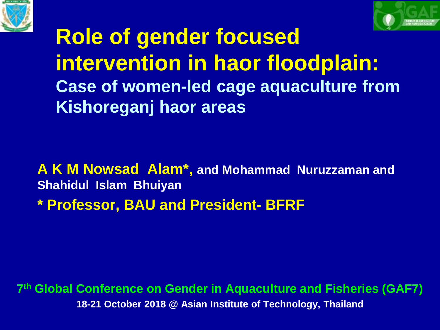



**Role of gender focused intervention in haor floodplain: Case of women-led cage aquaculture from Kishoreganj haor areas**

**A K M Nowsad Alam\*, and Mohammad Nuruzzaman and Shahidul Islam Bhuiyan**

**\* Professor, BAU and President- BFRF**

**7 th Global Conference on Gender in Aquaculture and Fisheries (GAF7) 18-21 October 2018 @ Asian Institute of Technology, Thailand**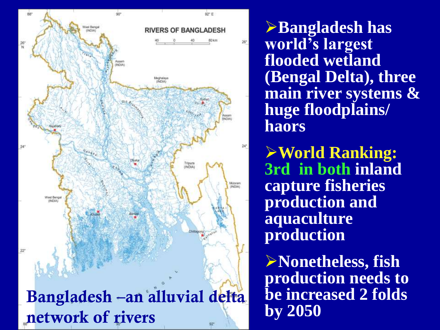

**Bangladesh has world's largest flooded wetland (Bengal Delta), three main river systems & huge floodplains/ haors**

**World Ranking: 3rd in both inland capture fisheries production and aquaculture production**

**Nonetheless, fish production needs to be increased 2 folds by 2050**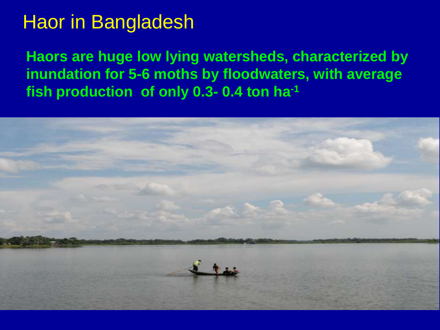# Haor in Bangladesh

**Haors are huge low lying watersheds, characterized by inundation for 5-6 moths by floodwaters, with average fish production of only 0.3- 0.4 ton ha-1**

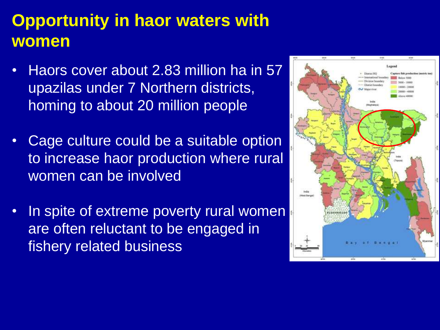# **Opportunity in haor waters with women**

- Haors cover about 2.83 million ha in 57 upazilas under 7 Northern districts, homing to about 20 million people
- Cage culture could be a suitable option to increase haor production where rural women can be involved
- In spite of extreme poverty rural women are often reluctant to be engaged in fishery related business

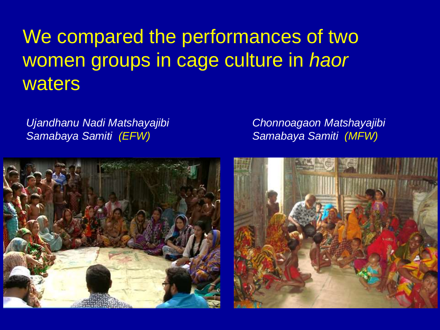# We compared the performances of two women groups in cage culture in *haor*  waters

*Ujandhanu Nadi Matshayajibi Samabaya Samiti (EFW)*



*Chonnoagaon Matshayajibi Samabaya Samiti (MFW)*

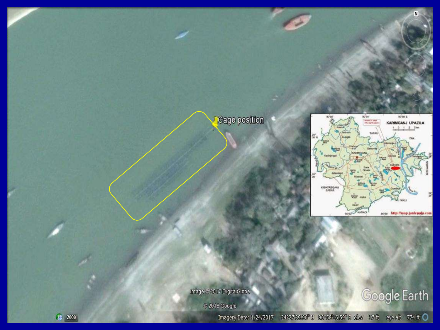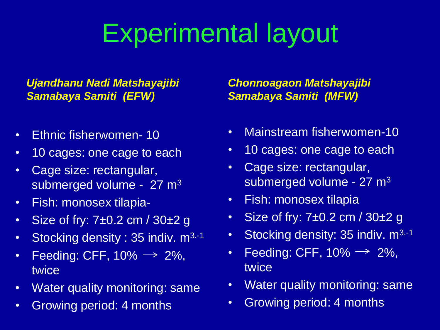# Experimental layout

#### *Ujandhanu Nadi Matshayajibi Samabaya Samiti**(EFW)*

- Ethnic fisherwomen- 10
- 10 cages: one cage to each
- Cage size: rectangular, submerged volume - 27 m<sup>3</sup>
- Fish: monosex tilapia-
- Size of fry: 7±0.2 cm / 30±2 g
- Stocking density :  $35$  indiv.  $m^{3.4}$
- Feeding: CFF,  $10\% \rightarrow 2\%$ , twice
- Water quality monitoring: same
- Growing period: 4 months

*Chonnoagaon Matshayajibi Samabaya Samiti**(MFW)*

- Mainstream fisherwomen-10
- 10 cages: one cage to each
- Cage size: rectangular, submerged volume - 27 m<sup>3</sup>
- Fish: monosex tilapia
- Size of fry: 7±0.2 cm / 30±2 g
- Stocking density: 35 indiv.  $m^{3.4}$
- Feeding: CFF,  $10\% \rightarrow 2\%$ , twice
- Water quality monitoring: same
- Growing period: 4 months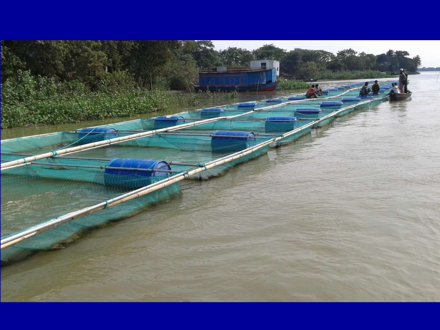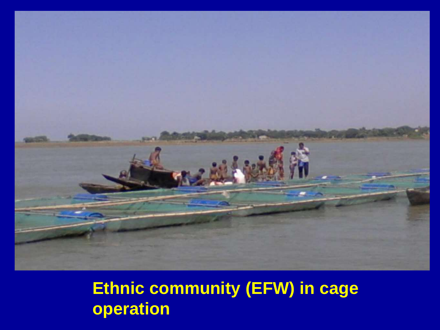

# **Ethnic community (EFW) in cage operation**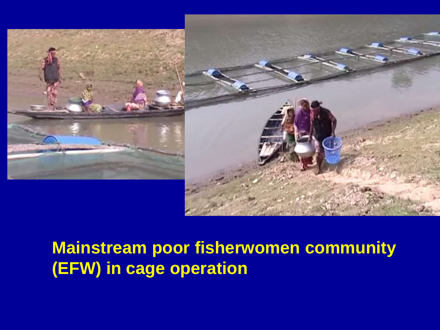

# **Mainstream poor fisherwomen community (EFW) in cage operation**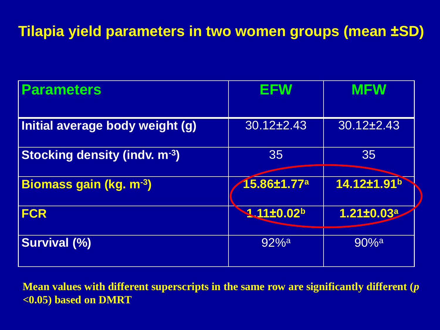#### **Tilapia yield parameters in two women groups (mean ±SD)**

| <b>Parameters</b>                   | <b>EFW</b>              | <b>MFW</b>              |
|-------------------------------------|-------------------------|-------------------------|
| Initial average body weight (g)     | 30.12±2.43              | 30.12±2.43              |
| <b>Stocking density (indv. m-3)</b> | 35                      | 35                      |
| Biomass gain (kg. m-3)              | 15.86±1.77 <sup>a</sup> | 14.12±1.91 <sup>b</sup> |
| <b>FCR</b>                          | 11±0.02 <sup>b</sup>    | 1.21±0.03 <sup>a</sup>  |
| <b>Survival (%)</b>                 | $ 92\%$ a               | $90%$ <sup>a</sup>      |

**Mean values with different superscripts in the same row are significantly different (***p <***0.05) based on DMRT**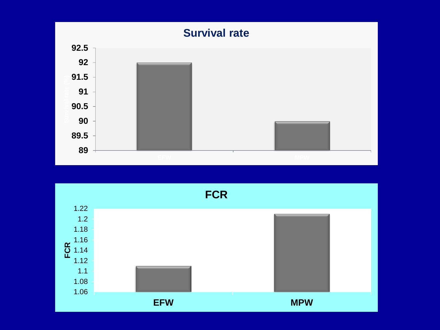

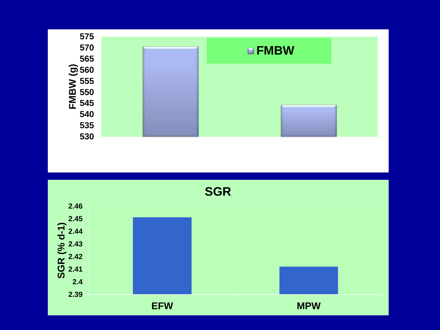

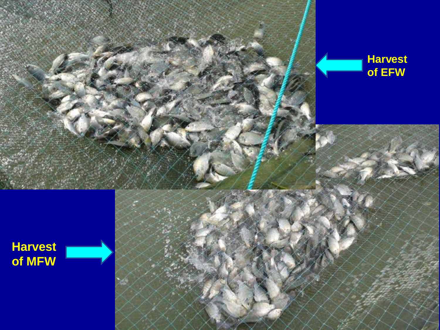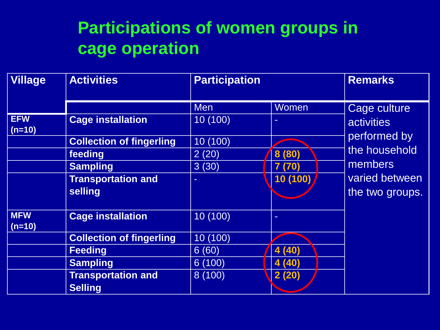## **Participations of women groups in cage operation**

| <b>Village</b>         | <b>Activities</b>               | <b>Participation</b> |                       | <b>Remarks</b>    |
|------------------------|---------------------------------|----------------------|-----------------------|-------------------|
|                        |                                 | <b>Men</b>           | <b>Women</b>          | Cage culture      |
| <b>EFW</b><br>$(n=10)$ | <b>Cage installation</b>        | 10 (100)             |                       | <b>activities</b> |
|                        | <b>Collection of fingerling</b> | 10 (100)             |                       | performed by      |
|                        | feeding                         | 2(20)                | 8(80)                 | the household     |
|                        | <b>Sampling</b>                 | 3(30)                | (70)                  | members           |
|                        | <b>Transportation and</b>       |                      | $\overline{10}$ (100) | varied between    |
|                        | selling                         |                      |                       | the two groups.   |
| <b>MFW</b><br>$(n=10)$ | <b>Cage installation</b>        | 10 (100)             | $\blacksquare$        |                   |
|                        | <b>Collection of fingerling</b> | 10 (100)             |                       |                   |
|                        | <b>Feeding</b>                  | 6(60)                | 4(40)                 |                   |
|                        | <b>Sampling</b>                 | 6(100)               | 4 (40)                |                   |
|                        | <b>Transportation and</b>       | 8(100)               | 2(20)                 |                   |
|                        | <b>Selling</b>                  |                      |                       |                   |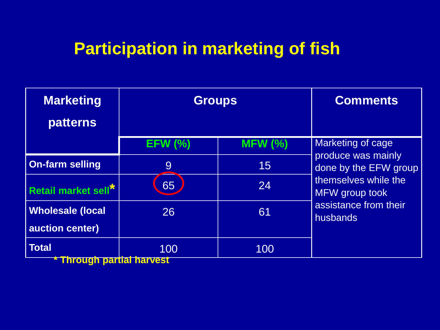### **Participation in marketing of fish**

| <b>Marketing</b><br><b>patterns</b>        | <b>Groups</b>  |         | <b>Comments</b>                             |  |
|--------------------------------------------|----------------|---------|---------------------------------------------|--|
|                                            | <b>EFW (%)</b> | MFW (%) | Marketing of cage                           |  |
| <b>On-farm selling</b>                     | 9              | 15      | produce was mainly<br>done by the EFW group |  |
| Retail market sell*                        | 65             | 24      | themselves while the<br>MFW group took      |  |
| <b>Wholesale (local</b><br>auction center) | 26             | 61      | assistance from their<br>husbands           |  |
| <b>Total</b><br>Through partial harvest    | 100            | 100     |                                             |  |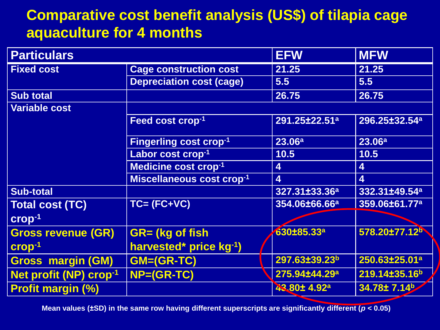#### **Comparative cost benefit analysis (US\$) of tilapia cage aquaculture for 4 months**

| <b>Particulars</b>        | <b>EFW</b>                      | <b>MFW</b>                |                           |
|---------------------------|---------------------------------|---------------------------|---------------------------|
| <b>Fixed cost</b>         | <b>Cage construction cost</b>   | 21.25                     | 21.25                     |
|                           | <b>Depreciation cost (cage)</b> | 5.5                       | 5.5                       |
| <b>Sub total</b>          |                                 | 26.75                     | 26.75                     |
| <b>Variable cost</b>      |                                 |                           |                           |
|                           | Feed cost crop <sup>-1</sup>    | 291.25±22.51 <sup>a</sup> | 296.25±32.54 <sup>a</sup> |
|                           | Fingerling cost crop-1          | 23.06a                    | 23.06a                    |
|                           | Labor cost crop-1               | 10.5                      | 10.5                      |
|                           | Medicine cost crop-1            | 4                         | 4                         |
|                           | Miscellaneous cost crop-1       | 4                         | $\overline{4}$            |
| <b>Sub-total</b>          |                                 | 327.31±33.36 <sup>a</sup> | 332.31±49.54 <sup>a</sup> |
| <b>Total cost (TC)</b>    | $TC = (FC+VC)$                  | 354.06±66.66 <sup>a</sup> | 359.06±61.77a             |
| $\text{crop}^{-1}$        |                                 |                           |                           |
| <b>Gross revenue (GR)</b> | <b>GR= (kg of fish</b>          | 630±85.33 <sup>a</sup>    | 578.20±77.12 <sup>b</sup> |
| $\text{crop}^{-1}$        | harvested* price kg-1)          |                           |                           |
| <b>Gross margin (GM)</b>  | GM=(GR-TC)                      | 297.63±39.23b             | 250.63±25.01 <sup>a</sup> |
| Net profit (NP) crop-1    | NP=(GR-TC)                      | 275.94±44.29 <sup>a</sup> | 219.14±35.16 <sup>b</sup> |
| <b>Profit margin (%)</b>  |                                 | 43.80± 4.92 <sup>a</sup>  | 34.78± 7.14 <sup>b</sup>  |

**Mean values (±SD) in the same row having different superscripts are significantly different (***p* **< 0.05)**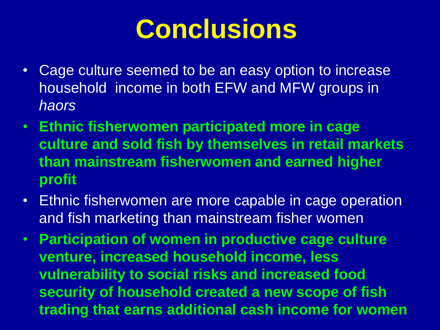# **Conclusions**

- Cage culture seemed to be an easy option to increase household income in both EFW and MFW groups in *haors*
- **Ethnic fisherwomen participated more in cage culture and sold fish by themselves in retail markets than mainstream fisherwomen and earned higher profit**
- Ethnic fisherwomen are more capable in cage operation and fish marketing than mainstream fisher women
- **Participation of women in productive cage culture venture, increased household income, less vulnerability to social risks and increased food security of household created a new scope of fish trading that earns additional cash income for women**